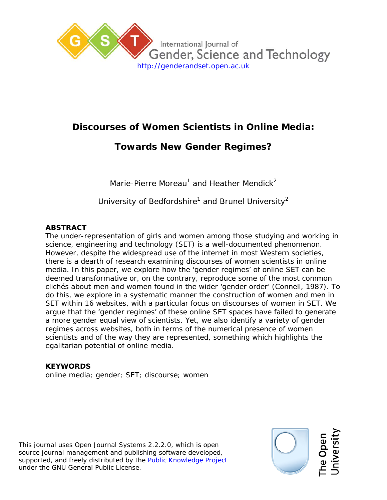

# **Discourses of Women Scientists in Online Media:**

# **Towards New Gender Regimes?**

*Marie-Pierre Moreau1 and Heather Mendick<sup>2</sup>*

*University of Bedfordshire<sup>1</sup> and Brunel University2*

### **ABSTRACT**

The under-representation of girls and women among those studying and working in science, engineering and technology (SET) is a well-documented phenomenon. However, despite the widespread use of the internet in most Western societies, there is a dearth of research examining discourses of women scientists in online media. In this paper, we explore how the 'gender regimes' of online SET can be deemed transformative or, on the contrary, reproduce some of the most common clichés about men and women found in the wider 'gender order' (Connell, 1987). To do this, we explore in a systematic manner the construction of women and men in SET within 16 websites, with a particular focus on discourses of women in SET. We argue that the 'gender regimes' of these online SET spaces have failed to generate a more gender equal view of scientists. Yet, we also identify a variety of gender regimes across websites, both in terms of the numerical presence of women scientists and of the way they are represented, something which highlights the egalitarian potential of online media.

### **KEYWORDS**

online media; gender; SET; discourse; women

This journal uses Open Journal Systems 2.2.2.0, which is open source journal management and publishing software developed, supported, and freely distributed by the **Public Knowledge Project** under the GNU General Public License.

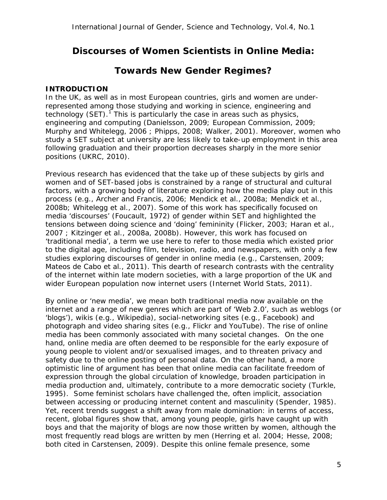## **Discourses of Women Scientists in Online Media:**

## **Towards New Gender Regimes?**

#### **INTRODUCTION**

In the UK, as well as in most European countries, girls and women are underrepresented among those studying and working in science, engineering and technology (SET). $<sup>1</sup>$  $<sup>1</sup>$  $<sup>1</sup>$  This is particularly the case in areas such as physics,</sup> engineering and computing (Danielsson, 2009; European Commission, 2009; Murphy and Whitelegg, 2006 ; Phipps, 2008; Walker, 2001). Moreover, women who study a SET subject at university are less likely to take-up employment in this area following graduation and their proportion decreases sharply in the more senior positions (UKRC, 2010).

Previous research has evidenced that the take up of these subjects by girls and women and of SET-based jobs is constrained by a range of structural and cultural factors, with a growing body of literature exploring how the media play out in this process (e.g., Archer and Francis, 2006; Mendick et al., 2008a; Mendick et al., 2008b; Whitelegg et al., 2007). Some of this work has specifically focused on media 'discourses' (Foucault, 1972) of gender within SET and highlighted the tensions between doing science and 'doing' femininity (Flicker, 2003; Haran et al., 2007 ; Kitzinger et al., 2008a, 2008b). However, this work has focused on 'traditional media', a term we use here to refer to those media which existed prior to the digital age, including film, television, radio, and newspapers, with only a few studies exploring discourses of gender in online media (e.g., Carstensen, 2009; Mateos de Cabo et al., 2011). This dearth of research contrasts with the centrality of the internet within late modern societies, with a large proportion of the UK and wider European population now internet users (Internet World Stats, 2011).

By online or 'new media', we mean both traditional media now available on the internet and a range of new genres which are part of 'Web 2.0', such as weblogs (or 'blogs'), wikis (e.g., Wikipedia), social-networking sites (e.g., Facebook) and photograph and video sharing sites (e.g., Flickr and YouTube). The rise of online media has been commonly associated with many societal changes. On the one hand, online media are often deemed to be responsible for the early exposure of young people to violent and/or sexualised images, and to threaten privacy and safety due to the online posting of personal data. On the other hand, a more optimistic line of argument has been that online media can facilitate freedom of expression through the global circulation of knowledge, broaden participation in media production and, ultimately, contribute to a more democratic society (Turkle, 1995). Some feminist scholars have challenged the, often implicit, association between accessing or producing internet content and masculinity (Spender, 1985). Yet, recent trends suggest a shift away from male domination: in terms of access, recent, global figures show that, among young people, girls have caught up with boys and that the majority of blogs are now those written by women, although the most frequently read blogs are written by men (Herring et al. 2004; Hesse, 2008; both cited in Carstensen, 2009). Despite this online female presence, some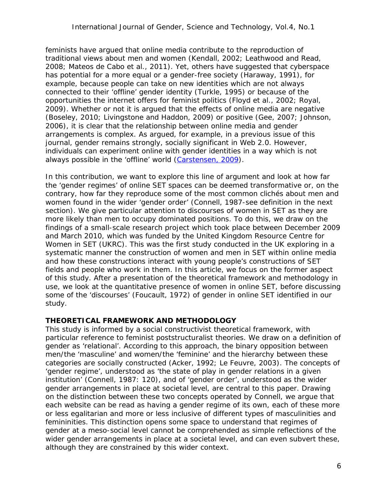feminists have argued that online media contribute to the reproduction of traditional views about men and women (Kendall, 2002; Leathwood and Read, 2008; Mateos de Cabo et al., 2011). Yet, others have suggested that cyberspace has potential for a more equal or a gender-free society (Haraway, 1991), for example, because people can take on new identities which are not always connected to their 'offline' gender identity (Turkle, 1995) or because of the opportunities the internet offers for feminist politics (Floyd et al., 2002; Royal, 2009). Whether or not it is argued that the effects of online media are negative (Boseley, 2010; Livingstone and Haddon, 2009) or positive (Gee, 2007; Johnson, 2006), it is clear that the relationship between online media and gender arrangements is complex. As argued, for example, in a previous issue of this journal, gender remains strongly, socially significant in Web 2.0. However, individuals can experiment online with gender identities in a way which is not always possible in the 'offline' world [\(Carstensen, 2009\)](http://genderandset.open.ac.uk/index.php/genderandset/article/view/18).

In this contribution, we want to explore this line of argument and look at how far the 'gender regimes' of online SET spaces can be deemed transformative or, on the contrary, how far they reproduce some of the most common clichés about men and women found in the wider 'gender order' (Connell, 1987-see definition in the next section). We give particular attention to discourses of women in SET as they are more likely than men to occupy dominated positions. To do this, we draw on the findings of a small-scale research project which took place between December 2009 and March 2010, which was funded by the United Kingdom Resource Centre for Women in SET (UKRC). This was the first study conducted in the UK exploring in a systematic manner the construction of women and men in SET within online media and how these constructions interact with young people's constructions of SET fields and people who work in them. In this article, we focus on the former aspect of this study. After a presentation of the theoretical framework and methodology in use, we look at the quantitative presence of women in online SET, before discussing some of the 'discourses' (Foucault, 1972) of gender in online SET identified in our study.

#### **THEORETICAL FRAMEWORK AND METHODOLOGY**

This study is informed by a social constructivist theoretical framework, with particular reference to feminist poststructuralist theories. We draw on a definition of gender as 'relational'. According to this approach, the binary opposition between men/the 'masculine' and women/the 'feminine' and the hierarchy between these categories are socially constructed (Acker, 1992; Le Feuvre, 2003). The concepts of 'gender regime', understood as 'the state of play in gender relations in a given institution' (Connell, 1987: 120), and of 'gender order', understood as the wider gender arrangements in place at societal level, are central to this paper. Drawing on the distinction between these two concepts operated by Connell, we argue that each website can be read as having a gender regime of its own, each of these more or less egalitarian and more or less inclusive of different types of masculinities and femininities. This distinction opens some space to understand that regimes of gender at a meso-social level cannot be comprehended as simple reflections of the wider gender arrangements in place at a societal level, and can even subvert these, although they are constrained by this wider context.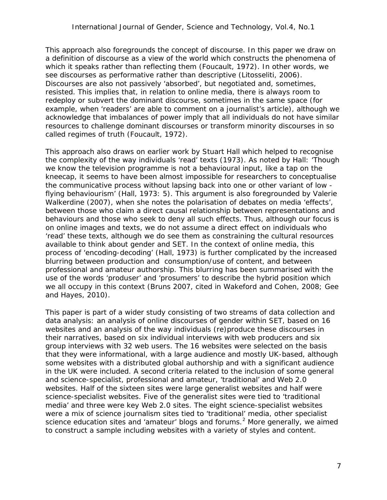This approach also foregrounds the concept of discourse. In this paper we draw on a definition of discourse as a view of the world which *constructs* the phenomena of which it speaks rather than *reflecting* them (Foucault, 1972). In other words, we see discourses as performative rather than descriptive (Litosseliti, 2006). Discourses are also not passively 'absorbed', but negotiated and, sometimes, resisted. This implies that, in relation to online media, there is always room to redeploy or subvert the dominant discourse, sometimes in the same space (for example, when 'readers' are able to comment on a journalist's article), although we acknowledge that imbalances of power imply that all individuals do not have similar resources to challenge dominant discourses or transform minority discourses in so called regimes of truth (Foucault, 1972).

This approach also draws on earlier work by Stuart Hall which helped to recognise the complexity of the way individuals 'read' texts (1973). As noted by Hall: 'Though we know the television programme is not a behavioural input, like a tap on the kneecap, it seems to have been almost impossible for researchers to conceptualise the communicative process without lapsing back into one or other variant of low flying behaviourism' (Hall, 1973: 5). This argument is also foregrounded by Valerie Walkerdine (2007), when she notes the polarisation of debates on media 'effects', between those who claim a direct causal relationship between representations and behaviours and those who seek to deny all such effects. Thus, although our focus is on online images and texts, we do not assume a direct effect on individuals who 'read' these texts, although we do see them as constraining the cultural resources available to think about gender and SET. In the context of online media, this process of 'encoding-decoding' (Hall, 1973) is further complicated by the increased blurring between production and consumption/use of content, and between professional and amateur authorship. This blurring has been summarised with the use of the words 'produser' and 'prosumers' to describe the hybrid position which we all occupy in this context (Bruns 2007, cited in Wakeford and Cohen, 2008; Gee and Hayes, 2010).

This paper is part of a wider study consisting of two streams of data collection and data analysis: an analysis of online discourses of gender within SET, based on 16 websites and an analysis of the way individuals (re)produce these discourses in their narratives, based on six individual interviews with web producers and six group interviews with 32 web users. The 16 websites were selected on the basis that they were informational, with a large audience and mostly UK-based, although some websites with a distributed global authorship and with a significant audience in the UK were included. A second criteria related to the inclusion of some general and science-specialist, professional and amateur, 'traditional' and Web 2.0 websites. Half of the sixteen sites were large generalist websites and half were science-specialist websites. Five of the generalist sites were tied to 'traditional media' and three were key Web 2.0 sites. The eight science-specialist websites were a mix of science journalism sites tied to 'traditional' media, other specialist science education sites and 'amateur' blogs and forums.<sup>[2](#page-19-1)</sup> More generally, we aimed to construct a sample including websites with a variety of styles and content.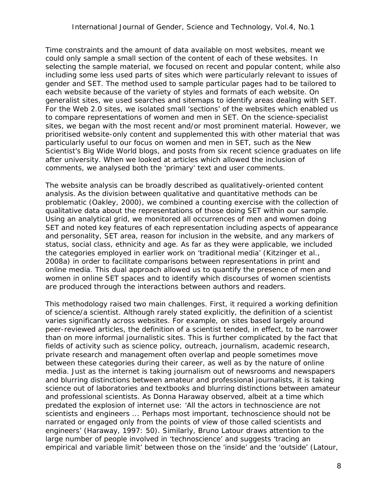Time constraints and the amount of data available on most websites, meant we could only sample a small section of the content of each of these websites. In selecting the sample material, we focused on recent and popular content, while also including some less used parts of sites which were particularly relevant to issues of gender and SET. The method used to sample particular pages had to be tailored to each website because of the variety of styles and formats of each website. On generalist sites, we used searches and sitemaps to identify areas dealing with SET. For the Web 2.0 sites, we isolated small 'sections' of the websites which enabled us to compare representations of women and men in SET. On the science-specialist sites, we began with the most recent and/or most prominent material. However, we prioritised website-only content and supplemented this with other material that was particularly useful to our focus on women and men in SET, such as the New Scientist's Big Wide World blogs, and posts from six recent science graduates on life after university. When we looked at articles which allowed the inclusion of comments, we analysed both the 'primary' text and user comments.

The website analysis can be broadly described as qualitatively-oriented content analysis. As the division between qualitative and quantitative methods can be problematic (Oakley, 2000), we combined a counting exercise with the collection of qualitative data about the representations of those doing SET within our sample. Using an analytical grid, we monitored all occurrences of men and women doing SET and noted key features of each representation including aspects of appearance and personality, SET area, reason for inclusion in the website, and any markers of status, social class, ethnicity and age. As far as they were applicable, we included the categories employed in earlier work on 'traditional media' (Kitzinger et al., 2008a) in order to facilitate comparisons between representations in print and online media. This dual approach allowed us to quantify the presence of men and women in online SET spaces and to identify which discourses of women scientists are produced through the interactions between authors and readers.

This methodology raised two main challenges. First, it required a working definition of science/a scientist. Although rarely stated explicitly, the definition of a scientist varies significantly across websites. For example, on sites based largely around peer-reviewed articles, the definition of a scientist tended, in effect, to be narrower than on more informal journalistic sites. This is further complicated by the fact that fields of activity such as science policy, outreach, journalism, academic research, private research and management often overlap and people sometimes move between these categories during their career, as well as by the nature of online media. Just as the internet is taking journalism out of newsrooms and newspapers and blurring distinctions between amateur and professional journalists, it is taking science out of laboratories and textbooks and blurring distinctions between amateur and professional scientists. As Donna Haraway observed, albeit at a time which predated the explosion of internet use: 'All the actors in technoscience are not scientists and engineers ... Perhaps most important, technoscience should not be narrated or engaged only from the points of view of those called scientists and engineers' (Haraway, 1997: 50). Similarly, Bruno Latour draws attention to the large number of people involved in 'technoscience' and suggests 'tracing an empirical and variable limit' between those on the 'inside' and the 'outside' (Latour,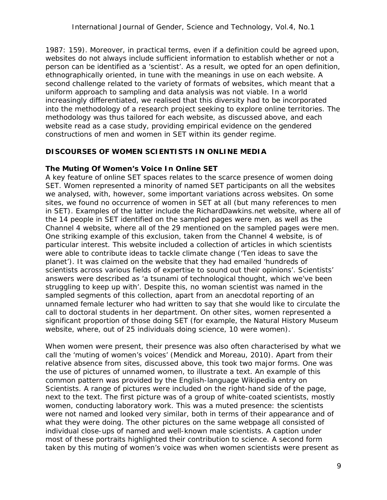1987: 159). Moreover, in practical terms, even if a definition could be agreed upon, websites do not always include sufficient information to establish whether or not a person can be identified as a 'scientist'. As a result, we opted for an open definition, ethnographically oriented, in tune with the meanings in use on each website. A second challenge related to the variety of formats of websites, which meant that a uniform approach to sampling and data analysis was not viable. In a world increasingly differentiated, we realised that this diversity had to be incorporated into the methodology of a research project seeking to explore online territories. The methodology was thus tailored for each website, as discussed above, and each website read as a case study, providing empirical evidence on the gendered constructions of men and women in SET within its gender regime.

#### **DISCOURSES OF WOMEN SCIENTISTS IN ONLINE MEDIA**

#### *The Muting Of Women's Voice In Online SET*

A key feature of online SET spaces relates to the scarce presence of women doing SET. Women represented a minority of named SET participants on all the websites we analysed, with, however, some important variations across websites. On some sites, we found no occurrence of women in SET at all (but many references to men in SET). Examples of the latter include the RichardDawkins.net website, where all of the 14 people in SET identified on the sampled pages were men, as well as the Channel 4 website, where all of the 29 mentioned on the sampled pages were men. One striking example of this exclusion, taken from the Channel 4 website, is of particular interest. This website included a collection of articles in which scientists were able to contribute ideas to tackle climate change ('Ten ideas to save the planet'). It was claimed on the website that they had emailed 'hundreds of scientists across various fields of expertise to sound out their opinions'. Scientists' answers were described as 'a tsunami of technological thought, which we've been struggling to keep up with'. Despite this, no woman scientist was named in the sampled segments of this collection, apart from an anecdotal reporting of an unnamed female lecturer who had written to say that she would like to circulate the call to doctoral students in her department. On other sites, women represented a significant proportion of those doing SET (for example, the Natural History Museum website, where, out of 25 individuals doing science, 10 were women).

When women were present, their presence was also often characterised by what we call the 'muting of women's voices' (Mendick and Moreau, 2010). Apart from their relative absence from sites, discussed above, this took two major forms. One was the use of pictures of unnamed women, to illustrate a text. An example of this common pattern was provided by the English-language Wikipedia entry on Scientists. A range of pictures were included on the right-hand side of the page, next to the text. The first picture was of a group of white-coated scientists, mostly women, conducting laboratory work. This was a muted presence: the scientists were not named and looked very similar, both in terms of their appearance and of what they were doing. The other pictures on the same webpage all consisted of individual close-ups of named and well-known male scientists. A caption under most of these portraits highlighted their contribution to science. A second form taken by this muting of women's voice was when women scientists were present as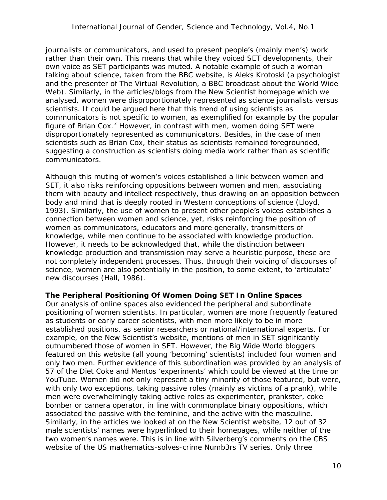journalists or communicators, and used to present people's (mainly men's) work rather than their own. This means that while they voiced SET developments, their own voice as SET participants was muted. A notable example of such a woman talking about science, taken from the BBC website, is Aleks Krotoski (a psychologist and the presenter of *The Virtual Revolution*, a BBC broadcast about the World Wide Web). Similarly, in the articles/blogs from the New Scientist homepage which we analysed, women were disproportionately represented as science journalists versus scientists. It could be argued here that this trend of using scientists as communicators is not specific to women, as exemplified for example by the popular figure of Brian Cox. $3$  However, in contrast with men, women doing SET were disproportionately represented as communicators. Besides, in the case of men scientists such as Brian Cox, their status as scientists remained foregrounded, suggesting a construction as scientists doing media work rather than as scientific communicators.

Although this muting of women's voices established a link between women and SET, it also risks reinforcing oppositions between women and men, associating them with beauty and intellect respectively, thus drawing on an opposition between body and mind that is deeply rooted in Western conceptions of science (Lloyd, 1993). Similarly, the use of women to present other people's voices establishes a connection between women and science, yet, risks reinforcing the position of women as communicators, educators and more generally, transmitters of knowledge, while men continue to be associated with knowledge production. However, it needs to be acknowledged that, while the distinction between knowledge production and transmission may serve a heuristic purpose, these are not completely independent processes. Thus, through their voicing of discourses of science, women are also potentially in the position, to some extent, to 'articulate' new discourses (Hall, 1986).

#### *The Peripheral Positioning Of Women Doing SET In Online Spaces*

Our analysis of online spaces also evidenced the peripheral and subordinate positioning of women scientists. In particular, women are more frequently featured as students or early career scientists, with men more likely to be in more established positions, as senior researchers or national/international experts. For example, on the New Scientist's website, mentions of men in SET significantly outnumbered those of women in SET. However, the Big Wide World bloggers featured on this website (all young 'becoming' scientists) included four women and only two men. Further evidence of this subordination was provided by an analysis of 57 of the Diet Coke and Mentos 'experiments' which could be viewed at the time on YouTube. Women did not only represent a tiny minority of those featured, but were, with only two exceptions, taking passive roles (mainly as victims of a prank), while men were overwhelmingly taking active roles as experimenter, prankster, coke bomber or camera operator, in line with commonplace binary oppositions, which associated the passive with the feminine, and the active with the masculine. Similarly, in the articles we looked at on the New Scientist website, 12 out of 32 male scientists' names were hyperlinked to their homepages, while neither of the two women's names were. This is in line with Silverberg's comments on the CBS website of the US mathematics-solves-crime *Numb3rs* TV series. Only three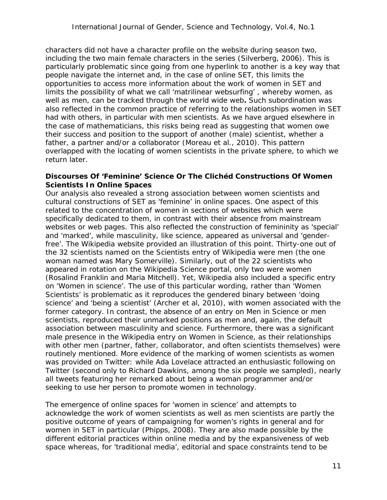characters did not have a character profile on the website during season two, including the two main female characters in the series (Silverberg, 2006). This is particularly problematic since going from one hyperlink to another is a key way that people navigate the internet and, in the case of online SET, this limits the opportunities to access more information about the work of women in SET and limits the possibility of what we call 'matrilinear websurfing' , whereby women, as well as men, can be tracked through the world wide web**.** Such subordination was also reflected in the common practice of referring to the relationships women in SET had with others, in particular with men scientists. As we have argued elsewhere in the case of mathematicians, this risks being read as suggesting that women owe their success and position to the support of another (male) scientist, whether a father, a partner and/or a collaborator (Moreau et al., 2010). This pattern overlapped with the locating of women scientists in the private sphere, to which we return later.

#### *Discourses Of 'Feminine' Science Or The Clichéd Constructions Of Women Scientists In Online Spaces*

Our analysis also revealed a strong association between women scientists and cultural constructions of SET as 'feminine' in online spaces. One aspect of this related to the concentration of women in sections of websites which were specifically dedicated to them, in contrast with their absence from mainstream websites or web pages. This also reflected the construction of femininity as 'special' and 'marked', while masculinity, like science, appeared as universal and 'genderfree'. The Wikipedia website provided an illustration of this point. Thirty-one out of the 32 scientists named on the Scientists entry of Wikipedia were men (the one woman named was Mary Somerville). Similarly, out of the 22 scientists who appeared in rotation on the Wikipedia Science portal, only two were women (Rosalind Franklin and Maria Mitchell). Yet, Wikipedia also included a specific entry on 'Women in science'. The use of this particular wording, rather than 'Women Scientists' is problematic as it reproduces the gendered binary between 'doing science' and 'being a scientist' (Archer et al, 2010), with women associated with the former category. In contrast, the absence of an entry on Men in Science or men scientists, reproduced their unmarked positions as men and, again, the default association between masculinity and science. Furthermore, there was a significant male presence in the Wikipedia entry on Women in Science, as their relationships with other men (partner, father, collaborator, and often scientists themselves) were routinely mentioned. More evidence of the marking of women scientists as women was provided on Twitter: while Ada Lovelace attracted an enthusiastic following on Twitter (second only to Richard Dawkins, among the six people we sampled), nearly all tweets featuring her remarked about being a woman programmer and/or seeking to use her person to promote women in technology.

The emergence of online spaces for 'women in science' and attempts to acknowledge the work of women scientists as well as men scientists are partly the positive outcome of years of campaigning for women's rights in general and for women in SET in particular (Phipps, 2008). They are also made possible by the different editorial practices within online media and by the expansiveness of web space whereas, for 'traditional media', editorial and space constraints tend to be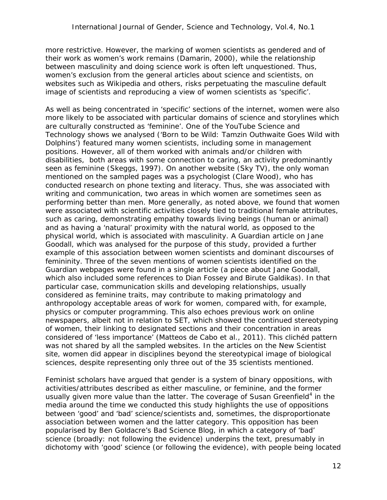more restrictive. However, the marking of women scientists as gendered and of their work as women's work remains (Damarin, 2000), while the relationship between masculinity and doing science work is often left unquestioned. Thus, women's exclusion from the general articles about science and scientists, on websites such as Wikipedia and others, risks perpetuating the masculine default image of scientists and reproducing a view of women scientists as 'specific'.

As well as being concentrated in 'specific' sections of the internet, women were also more likely to be associated with particular domains of science and storylines which are culturally constructed as 'feminine'. One of the YouTube Science and Technology shows we analysed ('Born to be Wild: Tamzin Outhwaite Goes Wild with Dolphins') featured many women scientists, including some in management positions. However, all of them worked with animals and/or children with disabilities, both areas with some connection to caring, an activity predominantly seen as feminine (Skeggs, 1997). On another website (Sky TV), the only woman mentioned on the sampled pages was a psychologist (Clare Wood), who has conducted research on phone texting and literacy. Thus, she was associated with writing and communication, two areas in which women are sometimes seen as performing better than men. More generally, as noted above, we found that women were associated with scientific activities closely tied to traditional female attributes, such as caring, demonstrating empathy towards living beings (human or animal) and as having a 'natural' proximity with the natural world, as opposed to the physical world, which is associated with masculinity. A Guardian article on Jane Goodall, which was analysed for the purpose of this study, provided a further example of this association between women scientists and dominant discourses of femininity. Three of the seven mentions of women scientists identified on the Guardian webpages were found in a single article (a piece about Jane Goodall, which also included some references to Dian Fossey and Birute Galdikas). In that particular case, communication skills and developing relationships, usually considered as feminine traits, may contribute to making primatology and anthropology acceptable areas of work for women, compared with, for example, physics or computer programming. This also echoes previous work on online newspapers, albeit not in relation to SET, which showed the continued stereotyping of women, their linking to designated sections and their concentration in areas considered of 'less importance' (Matteos de Cabo et al., 2011). This clichéd pattern was not shared by all the sampled websites. In the articles on the New Scientist site, women did appear in disciplines beyond the stereotypical image of biological sciences, despite representing only three out of the 35 scientists mentioned.

Feminist scholars have argued that gender is a system of binary oppositions, with activities/attributes described as either masculine, or feminine, and the former usually given more value than the latter. The coverage of Susan Greenfield<sup>[4](#page-19-3)</sup> in the media around the time we conducted this study highlights the use of oppositions between 'good' and 'bad' science/scientists and, sometimes, the disproportionate association between women and the latter category. This opposition has been popularised by Ben Goldacre's Bad Science Blog, in which a category of 'bad' science (broadly: not following the evidence) underpins the text, presumably in dichotomy with 'good' science (or following the evidence), with people being located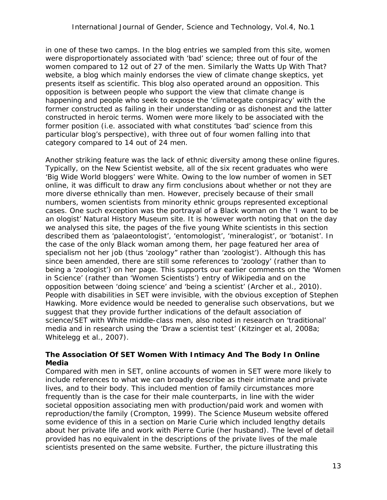in one of these two camps. In the blog entries we sampled from this site, women were disproportionately associated with 'bad' science; three out of four of the women compared to 12 out of 27 of the men. Similarly the Watts Up With That? website, a blog which mainly endorses the view of climate change skeptics, yet presents itself as scientific. This blog also operated around an opposition. This opposition is between people who support the view that climate change is happening and people who seek to expose the 'climategate conspiracy' with the former constructed as failing in their understanding or as dishonest and the latter constructed in heroic terms. Women were more likely to be associated with the former position (i.e. associated with what constitutes 'bad' science from this particular blog's perspective), with three out of four women falling into that category compared to 14 out of 24 men.

Another striking feature was the lack of ethnic diversity among these online figures. Typically, on the New Scientist website, all of the six recent graduates who were 'Big Wide World bloggers' were White. Owing to the low number of women in SET online, it was difficult to draw any firm conclusions about whether or not they are more diverse ethnically than men. However, precisely because of their small numbers, women scientists from minority ethnic groups represented exceptional cases. One such exception was the portrayal of a Black woman on the 'I want to be an ologist' Natural History Museum site. It is however worth noting that on the day we analysed this site, the pages of the five young White scientists in this section described them as 'palaeontologist', 'entomologist', 'mineralogist', or 'botanist'. In the case of the only Black woman among them, her page featured her area of specialism not her job (thus 'zoology" rather than 'zoologist'). Although this has since been amended, there are still some references to 'zoology' (rather than to being a 'zoologist') on her page. This supports our earlier comments on the 'Women in Science' (rather than 'Women Scientists') entry of Wikipedia and on the opposition between 'doing science' and 'being a scientist' (Archer et al., 2010). People with disabilities in SET were invisible, with the obvious exception of Stephen Hawking. More evidence would be needed to generalise such observations, but we suggest that they provide further indications of the default association of science/SET with White middle-class men, also noted in research on 'traditional' media and in research using the 'Draw a scientist test' (Kitzinger et al, 2008a; Whitelegg et al., 2007).

### *The Association Of SET Women With Intimacy And The Body In Online Media*

Compared with men in SET, online accounts of women in SET were more likely to include references to what we can broadly describe as their intimate and private lives, and to their body. This included mention of family circumstances more frequently than is the case for their male counterparts, in line with the wider societal opposition associating men with production/paid work and women with reproduction/the family (Crompton, 1999). The Science Museum website offered some evidence of this in a section on Marie Curie which included lengthy details about her private life and work with Pierre Curie (her husband). The level of detail provided has no equivalent in the descriptions of the private lives of the male scientists presented on the same website. Further, the picture illustrating this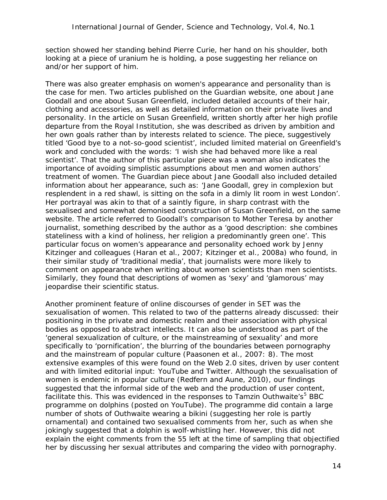section showed her standing behind Pierre Curie, her hand on his shoulder, both looking at a piece of uranium he is holding, a pose suggesting her reliance on and/or her support of him.

There was also greater emphasis on women's appearance and personality than is the case for men. Two articles published on the Guardian website, one about Jane Goodall and one about Susan Greenfield, included detailed accounts of their hair, clothing and accessories, as well as detailed information on their private lives and personality. In the article on Susan Greenfield, written shortly after her high profile departure from the Royal Institution, she was described as driven by ambition and her own goals rather than by interests related to science. The piece, suggestively titled 'Good bye to a not-so-good scientist', included limited material on Greenfield's work and concluded with the words: 'I wish she had behaved more like a real scientist'. That the author of this particular piece was a woman also indicates the importance of avoiding simplistic assumptions about men and women authors' treatment of women. The Guardian piece about Jane Goodall also included detailed information about her appearance, such as: 'Jane Goodall, grey in complexion but resplendent in a red shawl, is sitting on the sofa in a dimly lit room in west London'. Her portrayal was akin to that of a saintly figure, in sharp contrast with the sexualised and somewhat demonised construction of Susan Greenfield, on the same website. The article referred to Goodall's comparison to Mother Teresa by another journalist, something described by the author as a 'good description: she combines stateliness with a kind of holiness, her religion a predominantly green one'. This particular focus on women's appearance and personality echoed work by Jenny Kitzinger and colleagues (Haran et al., 2007; Kitzinger et al., 2008a) who found, in their similar study of 'traditional media', that journalists were more likely to comment on appearance when writing about women scientists than men scientists. Similarly, they found that descriptions of women as 'sexy' and 'glamorous' may jeopardise their scientific status.

Another prominent feature of online discourses of gender in SET was the sexualisation of women. This related to two of the patterns already discussed: their positioning in the private and domestic realm and their association with physical bodies as opposed to abstract intellects. It can also be understood as part of the 'general sexualization of culture, or the mainstreaming of sexuality' and more specifically to 'pornification', the blurring of the boundaries between pornography and the mainstream of popular culture (Paasonen et al., 2007: 8). The most extensive examples of this were found on the Web 2.0 sites, driven by user content and with limited editorial input: YouTube and Twitter. Although the sexualisation of women is endemic in popular culture (Redfern and Aune, 2010), our findings suggested that the informal side of the web and the production of user content, facilitate this. This was evidenced in the responses to Tamzin Outhwaite's<sup>[5](#page-19-4)</sup> BBC programme on dolphins (posted on YouTube). The programme did contain a large number of shots of Outhwaite wearing a bikini (suggesting her role is partly ornamental) and contained two sexualised comments from her, such as when she jokingly suggested that a dolphin is wolf-whistling her. However, this did not explain the eight comments from the 55 left at the time of sampling that objectified her by discussing her sexual attributes and comparing the video with pornography.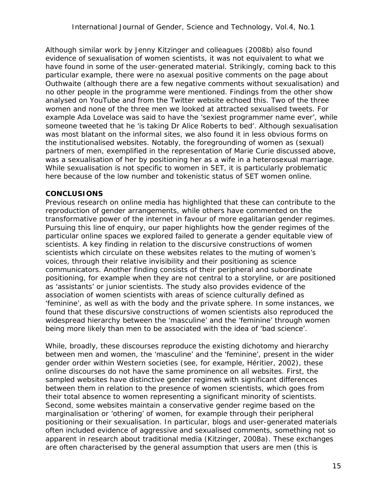Although similar work by Jenny Kitzinger and colleagues (2008b) also found evidence of sexualisation of women scientists, it was not equivalent to what we have found in some of the user-generated material. Strikingly, coming back to this particular example, there were no asexual positive comments on the page about Outhwaite (although there are a few negative comments without sexualisation) and no other people in the programme were mentioned. Findings from the other show analysed on YouTube and from the Twitter website echoed this. Two of the three women and none of the three men we looked at attracted sexualised tweets. For example Ada Lovelace was said to have the 'sexiest programmer name ever', while someone tweeted that he 'is taking Dr Alice Roberts to bed'. Although sexualisation was most blatant on the informal sites, we also found it in less obvious forms on the institutionalised websites. Notably, the foregrounding of women as (sexual) partners of men, exemplified in the representation of Marie Curie discussed above, was a sexualisation of her by positioning her as a wife in a heterosexual marriage. While sexualisation is not specific to women in SET, it is particularly problematic here because of the low number and tokenistic status of SET women online.

#### **CONCLUSIONS**

Previous research on online media has highlighted that these can contribute to the reproduction of gender arrangements, while others have commented on the transformative power of the internet in favour of more egalitarian gender regimes. Pursuing this line of enquiry, our paper highlights how the gender regimes of the particular online spaces we explored failed to generate a gender equitable view of scientists. A key finding in relation to the discursive constructions of women scientists which circulate on these websites relates to the muting of women's voices, through their relative invisibility and their positioning as science communicators. Another finding consists of their peripheral and subordinate positioning, for example when they are not central to a storyline, or are positioned as 'assistants' or junior scientists. The study also provides evidence of the association of women scientists with areas of science culturally defined as 'feminine', as well as with the body and the private sphere. In some instances, we found that these discursive constructions of women scientists also reproduced the widespread hierarchy between the 'masculine' and the 'feminine' through women being more likely than men to be associated with the idea of 'bad science'.

While, broadly, these discourses reproduce the existing dichotomy and hierarchy between men and women, the 'masculine' and the 'feminine', present in the wider gender order within Western societies (see, for example, Héritier, 2002), these online discourses do not have the same prominence on all websites. First, the sampled websites have distinctive gender regimes with significant differences between them in relation to the presence of women scientists, which goes from their total absence to women representing a significant minority of scientists. Second, some websites maintain a conservative gender regime based on the marginalisation or 'othering' of women, for example through their peripheral positioning or their sexualisation. In particular, blogs and user-generated materials often included evidence of aggressive and sexualised comments, something not so apparent in research about traditional media (Kitzinger, 2008a). These exchanges are often characterised by the general assumption that users are men (this is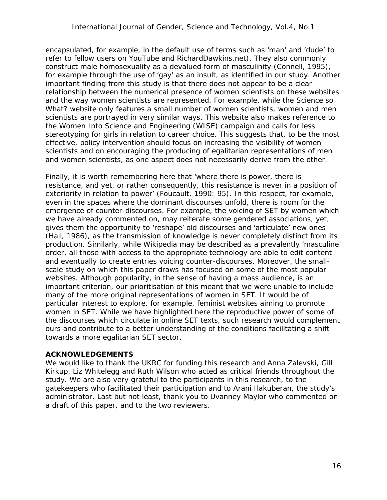encapsulated, for example, in the default use of terms such as 'man' and 'dude' to refer to fellow users on YouTube and RichardDawkins.net). They also commonly construct male homosexuality as a devalued form of masculinity (Connell, 1995), for example through the use of 'gay' as an insult, as identified in our study. Another important finding from this study is that there does not appear to be a clear relationship between the numerical presence of women scientists on these websites and the way women scientists are represented. For example, while the Science so What? website only features a small number of women scientists, women and men scientists are portrayed in very similar ways. This website also makes reference to the Women Into Science and Engineering (WISE) campaign and calls for less stereotyping for girls in relation to career choice. This suggests that, to be the most effective, policy intervention should focus on increasing the visibility of women scientists *and* on encouraging the producing of egalitarian representations of men and women scientists, as one aspect does not necessarily derive from the other.

Finally, it is worth remembering here that 'where there is power, there is resistance, and yet, or rather consequently, this resistance is never in a position of exteriority in relation to power' (Foucault, 1990: 95). In this respect, for example, even *in* the spaces where the dominant discourses unfold, there is room for the emergence of counter-discourses. For example, the voicing of SET by women which we have already commented on, may reiterate some gendered associations, yet, gives them the opportunity to 'reshape' old discourses and 'articulate' new ones (Hall, 1986), as the transmission of knowledge is never completely distinct from its production. Similarly, while Wikipedia may be described as a prevalently 'masculine' order, all those with access to the appropriate technology are able to edit content and eventually to create entries voicing counter-discourses. Moreover, the smallscale study on which this paper draws has focused on some of the most popular websites. Although popularity, in the sense of having a mass audience, is an important criterion, our prioritisation of this meant that we were unable to include many of the more original representations of women in SET. It would be of particular interest to explore, for example, feminist websites aiming to promote women in SET. While we have highlighted here the reproductive power of some of the discourses which circulate in online SET texts, such research would complement ours and contribute to a better understanding of the conditions facilitating a shift towards a more egalitarian SET sector.

#### **ACKNOWLEDGEMENTS**

We would like to thank the UKRC for funding this research and Anna Zalevski, Gill Kirkup, Liz Whitelegg and Ruth Wilson who acted as critical friends throughout the study. We are also very grateful to the participants in this research, to the gatekeepers who facilitated their participation and to Arani Ilakuberan, the study's administrator. Last but not least, thank you to Uvanney Maylor who commented on a draft of this paper, and to the two reviewers.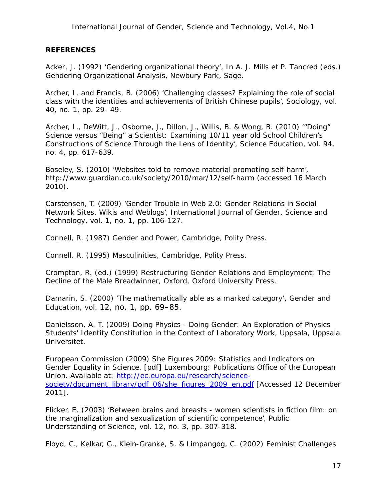#### **REFERENCES**

Acker, J. (1992) 'Gendering organizational theory', In A. J. Mills et P. Tancred (eds.) *Gendering Organizational Analysis,* Newbury Park, Sage.

Archer, L. and Francis, B. (2006) 'Challenging classes? Explaining the role of social class with the identities and achievements of British Chinese pupils', *Sociology*, vol. 40, no. 1, pp. 29- 49.

Archer, L., DeWitt, J., Osborne, J., Dillon, J., Willis, B. & Wong, B. (2010) '"Doing" Science versus "Being" a Scientist: Examining 10/11 year old School Children's Constructions of Science Through the Lens of Identity', *Science Education*, vol. 94, no. 4, pp. 617-639.

Boseley, S. (2010) 'Websites told to remove material promoting self-harm', http://www.guardian.co.uk/society/2010/mar/12/self-harm (accessed 16 March 2010).

Carstensen, T. (2009) 'Gender Trouble in Web 2.0: Gender Relations in Social Network Sites, Wikis and Weblogs', *International Journal of Gender, Science and Technology*, vol. 1, no. 1, pp. 106-127.

Connell, R. (1987) *Gender and Power*, Cambridge, Polity Press.

Connell, R. (1995) *Masculinities*, Cambridge, Polity Press.

Crompton, R. (ed.) (1999) *Restructuring Gender Relations and Employment: The Decline of the Male Breadwinner*, Oxford, Oxford University Press.

Damarin, S. (2000) 'The mathematically able as a marked category', *Gender and Education*, vol. 12, no. 1, pp. 69–85.

Danielsson, A. T. (2009) *Doing Physics - Doing Gender: An Exploration of Physics Students' Identity Constitution in the Context of Laboratory Work*, Uppsala, Uppsala Universitet.

European Commission (2009) *She Figures 2009: Statistics and Indicators on Gender Equality in Science*. [pdf] Luxembourg: Publications Office of the European Union. Available at: [http://ec.europa.eu/research/science](http://ec.europa.eu/research/science-society/document_library/pdf_06/she_figures_2009_en.pdf)[society/document\\_library/pdf\\_06/she\\_figures\\_2009\\_en.pdf](http://ec.europa.eu/research/science-society/document_library/pdf_06/she_figures_2009_en.pdf) [Accessed 12 December 2011].

Flicker, E. (2003) 'Between brains and breasts - women scientists in fiction film: on the marginalization and sexualization of scientific competence', *Public Understanding of Science*, vol. 12, no. 3, pp. 307-318.

Floyd, C., Kelkar, G., Klein-Granke, S. & Limpangog, C. (2002) *Feminist Challenges*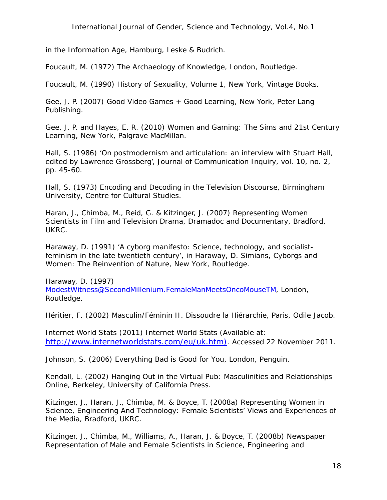*in the Information Age*, Hamburg, Leske & Budrich.

Foucault, M. (1972) *The Archaeology of Knowledge*, London, Routledge.

Foucault, M. (1990) *History of Sexuality, Volume 1*, New York, Vintage Books.

Gee, J. P. (2007) *Good Video Games + Good Learning*, New York, Peter Lang Publishing.

Gee, J. P. and Hayes, E. R. (2010) *Women and Gaming: The Sims and 21st Century Learning,* New York, Palgrave MacMillan.

Hall, S. (1986) 'On postmodernism and articulation: an interview with Stuart Hall, edited by Lawrence Grossberg', *Journal of Communication Inquiry*, vol. 10, no. 2, pp. 45-60.

Hall, S. (1973) *Encoding and Decoding in the Television Discourse*, Birmingham University, Centre for Cultural Studies.

Haran, J., Chimba, M., Reid, G. & Kitzinger, J. (2007) *Representing Women Scientists in Film and Television Drama, Dramadoc and Documentary*, Bradford, UKRC.

Haraway, D. (1991) 'A cyborg manifesto: Science, technology, and socialistfeminism in the late twentieth century', in Haraway, D. *Simians, Cyborgs and Women: The Reinvention of Nature*, New York, Routledge.

Haraway, D. (1997) *[ModestWitness@SecondMillenium.FemaleManMeetsOncoMouseTM](mailto:ModestWitness@SecondMillenium.FemaleManMeetsOncoMouseTM)*, London, Routledge.

Héritier, F. (2002) *Masculin/Féminin II. Dissoudre la Hiérarchie*, Paris, Odile Jacob.

Internet World Stats (2011) *Internet World Stats* (Available at: [http://www.internetworldstats.com/eu/uk.htm\).](http://www.internetworldstats.com/eu/uk.htm)) Accessed 22 November 2011.

Johnson, S. (2006) *Everything Bad is Good for You*, London, Penguin.

Kendall, L. (2002) *Hanging Out in the Virtual Pub: Masculinities and Relationships Online*, Berkeley, University of California Press.

Kitzinger, J., Haran, J., Chimba, M. & Boyce, T. (2008a) *Representing Women in Science, Engineering And Technology: Female Scientists' Views and Experiences of the Media,* Bradford, UKRC.

Kitzinger, J., Chimba, M., Williams, A., Haran, J. & Boyce, T. (2008b) *Newspaper Representation of Male and Female Scientists in Science, Engineering and*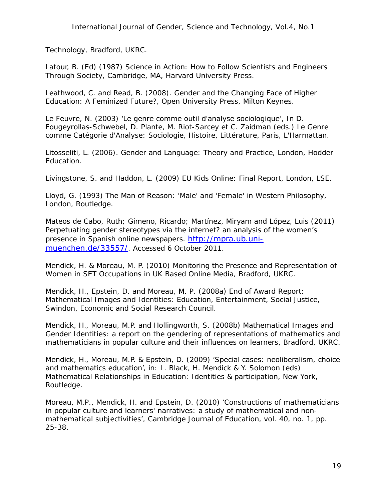*Technology,* Bradford, UKRC.

Latour, B. (Ed) (1987) *Science in Action: How to Follow Scientists and Engineers Through Society*, Cambridge, MA, Harvard University Press.

Leathwood, C. and Read, B. (2008). *Gender and the Changing Face of Higher Education: A Feminized Future?,* Open University Press, Milton Keynes.

Le Feuvre, N. (2003) 'Le genre comme outil d'analyse sociologique', In D. Fougeyrollas-Schwebel, D. Plante, M. Riot-Sarcey et C. Zaidman (eds.) *Le Genre comme Catégorie d'Analyse: Sociologie, Histoire, Littérature,* Paris, L'Harmattan.

Litosseliti, L. (2006). *Gender and Language: Theory and Practice,* London, Hodder Education.

Livingstone, S. and Haddon, L. (2009) *EU Kids Online: Final Report*, London, LSE.

Lloyd, G. (1993) *The Man of Reason: 'Male' and 'Female' in Western Philosophy*, London, Routledge.

Mateos de Cabo, Ruth; Gimeno, Ricardo; Martínez, Miryam and López, Luis (2011) *Perpetuating gender stereotypes via the internet? an analysis of the women's presence in Spanish online newspapers*. [http://mpra.ub.uni](http://mpra.ub.uni-muenchen.de/33557/)[muenchen.de/33557/.](http://mpra.ub.uni-muenchen.de/33557/) Accessed 6 October 2011.

Mendick, H. & Moreau, M. P. (2010) *Monitoring the Presence and Representation of Women in SET Occupations in UK Based Online Media,* Bradford, UKRC.

Mendick, H., Epstein, D. and Moreau, M. P. (2008a) *End of Award Report: Mathematical Images and Identities: Education, Entertainment, Social Justice*, Swindon, Economic and Social Research Council.

Mendick, H., Moreau, M.P. and Hollingworth, S. (2008b) *Mathematical Images and Gender Identities: a report on the gendering of representations of mathematics and mathematicians in popular culture and their influences on learners*, Bradford, UKRC.

Mendick, H., Moreau, M.P. & Epstein, D. (2009) 'Special cases: neoliberalism, choice and mathematics education', in: L. Black, H. Mendick & Y. Solomon (eds) *Mathematical Relationships in Education: Identities & participation,* New York, Routledge.

Moreau, M.P., Mendick, H. and Epstein, D. (2010) 'Constructions of mathematicians in popular culture and learners' narratives: a study of mathematical and nonmathematical subjectivities', *Cambridge Journal of Education*, vol. 40, no. 1, pp. 25-38.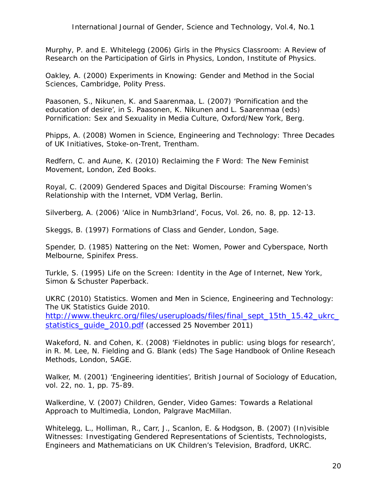Murphy, P. and E. Whitelegg (2006) *Girls in the Physics Classroom: A Review of Research on the Participation of Girls in Physics*, London, Institute of Physics.

Oakley, A. (2000) *Experiments in Knowing: Gender and Method in the Social Sciences,* Cambridge, Polity Press.

Paasonen, S., Nikunen, K. and Saarenmaa, L. (2007) 'Pornification and the education of desire', in S. Paasonen, K. Nikunen and L. Saarenmaa (eds) *Pornification: Sex and Sexuality in Media Culture*, Oxford/New York, Berg.

Phipps, A. (2008) *Women in Science, Engineering and Technology: Three Decades of UK Initiatives,* Stoke-on-Trent, Trentham.

Redfern, C. and Aune, K. (2010) *Reclaiming the F Word: The New Feminist Movement*, London, Zed Books.

Royal, C. (2009) *Gendered Spaces and Digital Discourse: Framing Women's Relationship with the Internet*, VDM Verlag, Berlin.

Silverberg, A. (2006) 'Alice in Numb3rland', *Focus*, Vol. 26, no. 8, pp. 12-13.

Skeggs, B. (1997) *Formations of Class and Gender*, London, Sage.

Spender, D. (1985) *Nattering on the Net: Women, Power and Cyberspace*, North Melbourne, Spinifex Press.

Turkle, S. (1995) *Life on the Screen: Identity in the Age of Internet*, New York, Simon & Schuster Paperback.

UKRC (2010) *Statistics. Women and Men in Science, Engineering and Technology: The UK Statistics Guide 2010*. [http://www.theukrc.org/files/useruploads/files/final\\_sept\\_15th\\_15.42\\_ukrc\\_](http://www.theukrc.org/files/useruploads/files/final_sept_15th_15.42_ukrc_statistics_guide_2010.pdf) statistics\_quide\_2010.pdf (accessed 25 November 2011)

Wakeford, N. and Cohen, K. (2008) 'Fieldnotes in public: using blogs for research', in R. M. Lee, N. Fielding and G. Blank (eds) *The Sage Handbook of Online Reseach Methods*, London, SAGE.

Walker, M. (2001) 'Engineering identities', *British Journal of Sociology of Education*, vol. 22, no. 1, pp. 75-89.

Walkerdine, V. (2007) *Children, Gender, Video Games: Towards a Relational Approach to Multimedia*, London, Palgrave MacMillan.

Whitelegg, L., Holliman, R., Carr, J., Scanlon, E. & Hodgson, B. (2007) *(In)visible Witnesses: Investigating Gendered Representations of Scientists, Technologists, Engineers and Mathematicians on UK Children's Television,* Bradford, UKRC.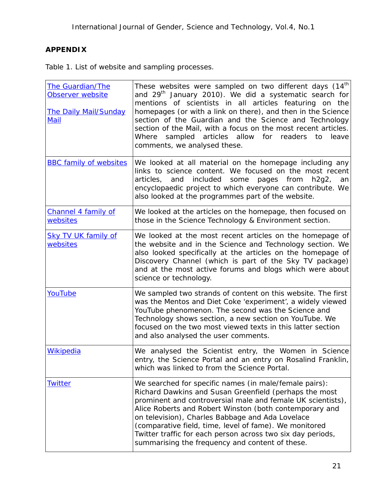## **APPENDIX**

Table 1. List of website and sampling processes.

| <b>The Guardian/The</b><br>Observer website<br><b>The Daily Mail/Sunday</b><br>Mail | These websites were sampled on two different days $(14th)$<br>and 29 <sup>th</sup> January 2010). We did a systematic search for<br>mentions of scientists in all articles featuring on the<br>homepages (or with a link on there), and then in the Science<br>section of the Guardian and the Science and Technology<br>section of the Mail, with a focus on the most recent articles.<br>sampled articles allow for readers to<br>Where<br>leave<br>comments, we analysed these. |
|-------------------------------------------------------------------------------------|------------------------------------------------------------------------------------------------------------------------------------------------------------------------------------------------------------------------------------------------------------------------------------------------------------------------------------------------------------------------------------------------------------------------------------------------------------------------------------|
| <b>BBC family of websites</b>                                                       | We looked at all material on the homepage including any<br>links to science content. We focused on the most recent<br>included<br>and<br>some<br>articles,<br>pages from<br>$h2g2$ ,<br>an<br>encyclopaedic project to which everyone can contribute. We<br>also looked at the programmes part of the website.                                                                                                                                                                     |
| <b>Channel 4 family of</b><br>websites                                              | We looked at the articles on the homepage, then focused on<br>those in the Science Technology & Environment section.                                                                                                                                                                                                                                                                                                                                                               |
| <b>Sky TV UK family of</b><br>websites                                              | We looked at the most recent articles on the homepage of<br>the website and in the Science and Technology section. We<br>also looked specifically at the articles on the homepage of<br>Discovery Channel (which is part of the Sky TV package)<br>and at the most active forums and blogs which were about<br>science or technology.                                                                                                                                              |
| YouTube                                                                             | We sampled two strands of content on this website. The first<br>was the Mentos and Diet Coke 'experiment', a widely viewed<br>YouTube phenomenon. The second was the Science and<br>Technology shows section, a new section on YouTube. We<br>focused on the two most viewed texts in this latter section<br>and also analysed the user comments.                                                                                                                                  |
| <b>Wikipedia</b>                                                                    | We analysed the Scientist entry, the Women in Science<br>entry, the Science Portal and an entry on Rosalind Franklin,<br>which was linked to from the Science Portal.                                                                                                                                                                                                                                                                                                              |
| <b>Twitter</b>                                                                      | We searched for specific names (in male/female pairs):<br>Richard Dawkins and Susan Greenfield (perhaps the most<br>prominent and controversial male and female UK scientists),<br>Alice Roberts and Robert Winston (both contemporary and<br>on television), Charles Babbage and Ada Lovelace<br>(comparative field, time, level of fame). We monitored<br>Twitter traffic for each person across two six day periods,<br>summarising the frequency and content of these.         |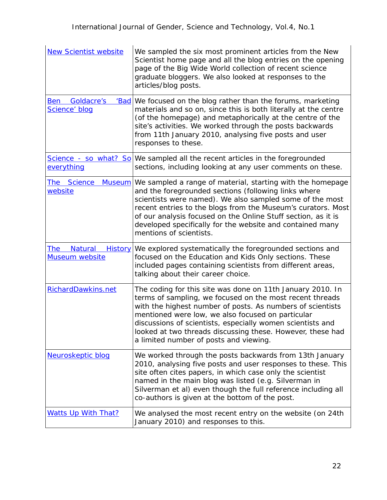| <b>New Scientist website</b>                      | We sampled the six most prominent articles from the New<br>Scientist home page and all the blog entries on the opening<br>page of the Big Wide World collection of recent science<br>graduate bloggers. We also looked at responses to the<br>articles/blog posts.                                                                                                                                              |
|---------------------------------------------------|-----------------------------------------------------------------------------------------------------------------------------------------------------------------------------------------------------------------------------------------------------------------------------------------------------------------------------------------------------------------------------------------------------------------|
| <b>Goldacre's</b><br>Ben<br>'Bad<br>Science' blog | We focused on the blog rather than the forums, marketing<br>materials and so on, since this is both literally at the centre<br>(of the homepage) and metaphorically at the centre of the<br>site's activities. We worked through the posts backwards<br>from 11th January 2010, analysing five posts and user<br>responses to these.                                                                            |
| everything                                        | Science - so what? So We sampled all the recent articles in the foregrounded<br>sections, including looking at any user comments on these.                                                                                                                                                                                                                                                                      |
| The Science<br><b>Museum</b><br>website           | We sampled a range of material, starting with the homepage<br>and the foregrounded sections (following links where<br>scientists were named). We also sampled some of the most<br>recent entries to the blogs from the Museum's curators. Most<br>of our analysis focused on the Online Stuff section, as it is<br>developed specifically for the website and contained many<br>mentions of scientists.         |
| The Natural History<br><b>Museum website</b>      | We explored systematically the foregrounded sections and<br>focused on the Education and Kids Only sections. These<br>included pages containing scientists from different areas,<br>talking about their career choice.                                                                                                                                                                                          |
| RichardDawkins.net                                | The coding for this site was done on 11th January 2010. In<br>terms of sampling, we focused on the most recent threads<br>with the highest number of posts. As numbers of scientists<br>mentioned were low, we also focused on particular<br>discussions of scientists, especially women scientists and<br>looked at two threads discussing these. However, these had<br>a limited number of posts and viewing. |
| Neuroskeptic blog                                 | We worked through the posts backwards from 13th January<br>2010, analysing five posts and user responses to these. This<br>site often cites papers, in which case only the scientist<br>named in the main blog was listed (e.g. Silverman in<br>Silverman et al) even though the full reference including all<br>co-authors is given at the bottom of the post.                                                 |
| <b>Watts Up With That?</b>                        | We analysed the most recent entry on the website (on 24th<br>January 2010) and responses to this.                                                                                                                                                                                                                                                                                                               |